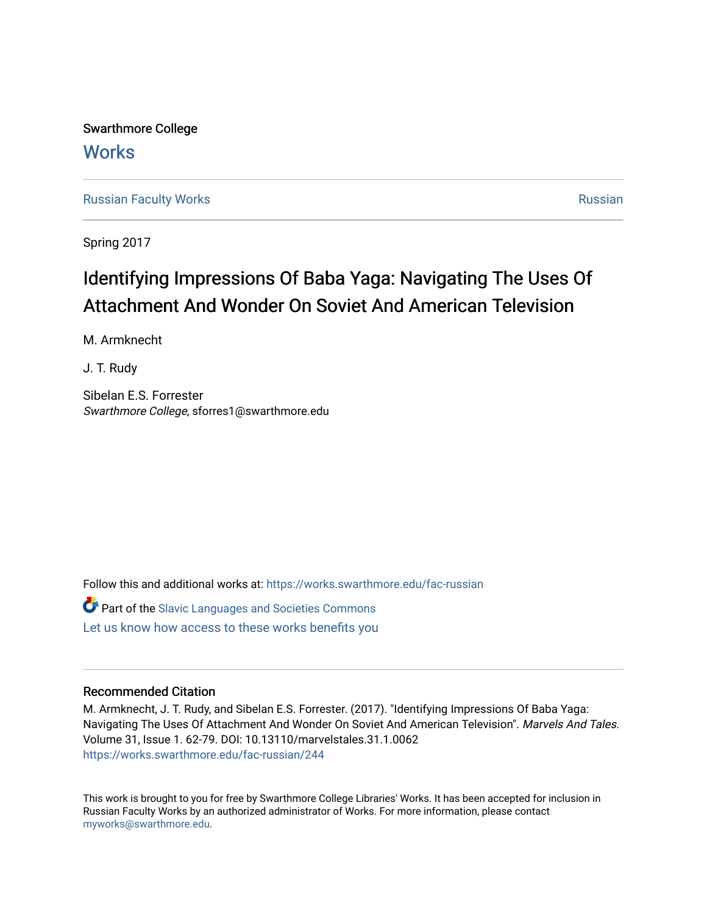Swarthmore College **Works** 

[Russian Faculty Works](https://works.swarthmore.edu/fac-russian) **[Russian](https://works.swarthmore.edu/russian) Faculty Works** Russian Russian Russian Russian Russian

Spring 2017

# Identifying Impressions Of Baba Yaga: Navigating The Uses Of Attachment And Wonder On Soviet And American Television

M. Armknecht

J. T. Rudy

Sibelan E.S. Forrester Swarthmore College, sforres1@swarthmore.edu

Follow this and additional works at: [https://works.swarthmore.edu/fac-russian](https://works.swarthmore.edu/fac-russian?utm_source=works.swarthmore.edu%2Ffac-russian%2F244&utm_medium=PDF&utm_campaign=PDFCoverPages) 

Part of the [Slavic Languages and Societies Commons](http://network.bepress.com/hgg/discipline/486?utm_source=works.swarthmore.edu%2Ffac-russian%2F244&utm_medium=PDF&utm_campaign=PDFCoverPages)  [Let us know how access to these works benefits you](https://forms.gle/4MB8mE2GywC5965J8) 

# Recommended Citation

M. Armknecht, J. T. Rudy, and Sibelan E.S. Forrester. (2017). "Identifying Impressions Of Baba Yaga: Navigating The Uses Of Attachment And Wonder On Soviet And American Television". Marvels And Tales. Volume 31, Issue 1. 62-79. DOI: 10.13110/marvelstales.31.1.0062 <https://works.swarthmore.edu/fac-russian/244>

This work is brought to you for free by Swarthmore College Libraries' Works. It has been accepted for inclusion in Russian Faculty Works by an authorized administrator of Works. For more information, please contact [myworks@swarthmore.edu.](mailto:myworks@swarthmore.edu)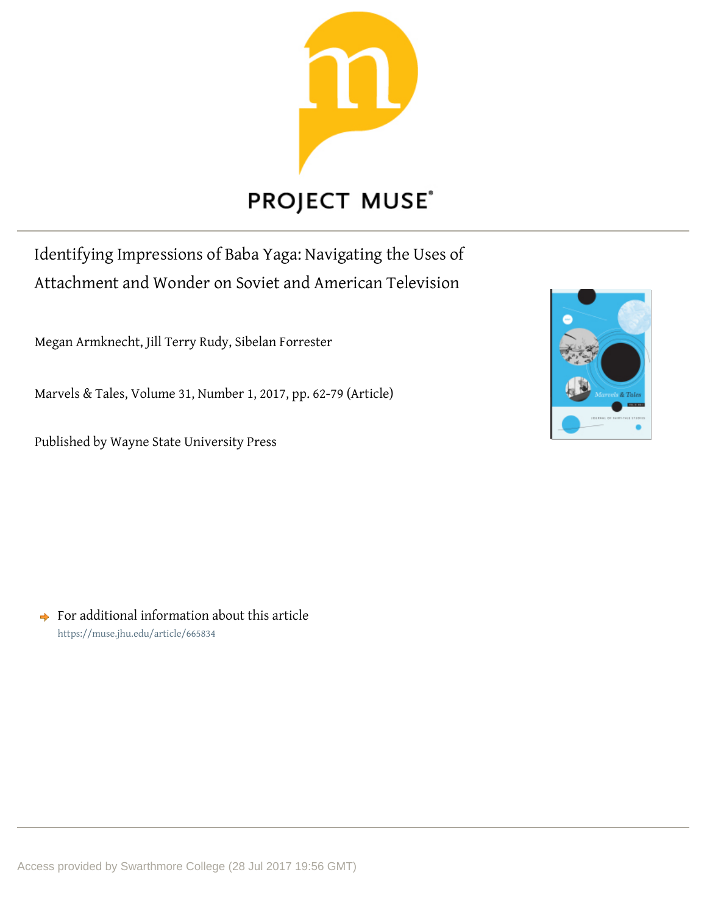

# **PROJECT MUSE®**

Identifying Impressions of Baba Yaga: Navigating the Uses of Attachment and Wonder on Soviet and American Television

Megan Armknecht, Jill Terry Rudy, Sibelan Forrester

Marvels & Tales, Volume 31, Number 1, 2017, pp. 62-79 (Article)

Published by Wayne State University Press



 $\rightarrow$  For additional information about this article <https://muse.jhu.edu/article/665834>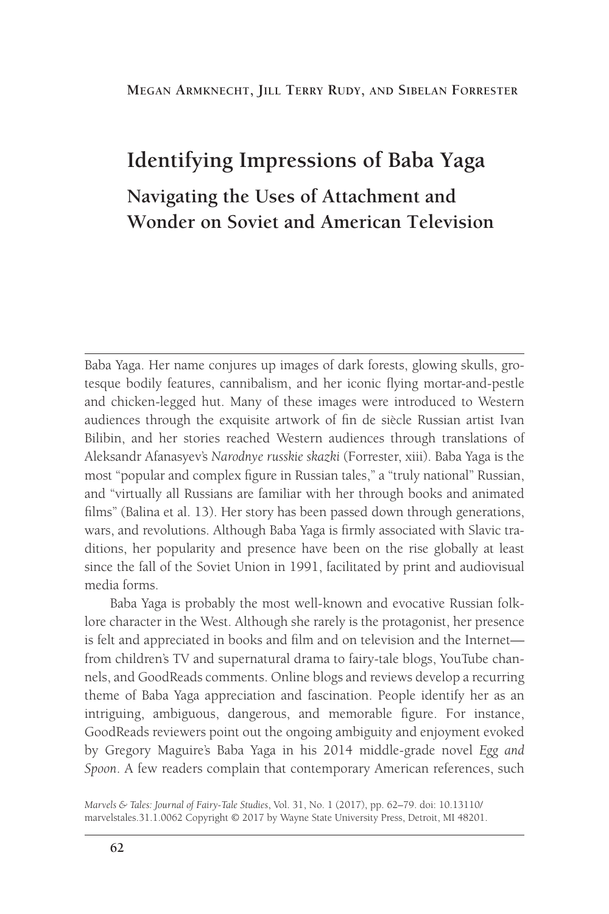#### **Megan Armknecht, Jill Terry Rudy, and Sibelan Forrester**

# **Identifying Impressions of Baba Yaga Navigating the Uses of Attachment and Wonder on Soviet and American Television**

Baba Yaga. Her name conjures up images of dark forests, glowing skulls, grotesque bodily features, cannibalism, and her iconic flying mortar-and-pestle and chicken-legged hut. Many of these images were introduced to Western audiences through the exquisite artwork of fin de siècle Russian artist Ivan Bilibin, and her stories reached Western audiences through translations of Aleksandr Afanasyev's *Narodnye russkie skazki* (Forrester, xiii). Baba Yaga is the most "popular and complex figure in Russian tales," a "truly national" Russian, and "virtually all Russians are familiar with her through books and animated films" (Balina et al. 13). Her story has been passed down through generations, wars, and revolutions. Although Baba Yaga is firmly associated with Slavic traditions, her popularity and presence have been on the rise globally at least since the fall of the Soviet Union in 1991, facilitated by print and audiovisual media forms.

Baba Yaga is probably the most well-known and evocative Russian folklore character in the West. Although she rarely is the protagonist, her presence is felt and appreciated in books and film and on television and the Internet from children's TV and supernatural drama to fairy-tale blogs, YouTube channels, and GoodReads comments. Online blogs and reviews develop a recurring theme of Baba Yaga appreciation and fascination. People identify her as an intriguing, ambiguous, dangerous, and memorable figure. For instance, GoodReads reviewers point out the ongoing ambiguity and enjoyment evoked by Gregory Maguire's Baba Yaga in his 2014 middle-grade novel *Egg and Spoon*. A few readers complain that contemporary American references, such

*Marvels & Tales: Journal of Fairy-Tale Studies*, Vol. 31, No. 1 (2017), pp. 62–79. doi: 10.13110/ marvelstales.31.1.0062 Copyright © 2017 by Wayne State University Press, Detroit, MI 48201.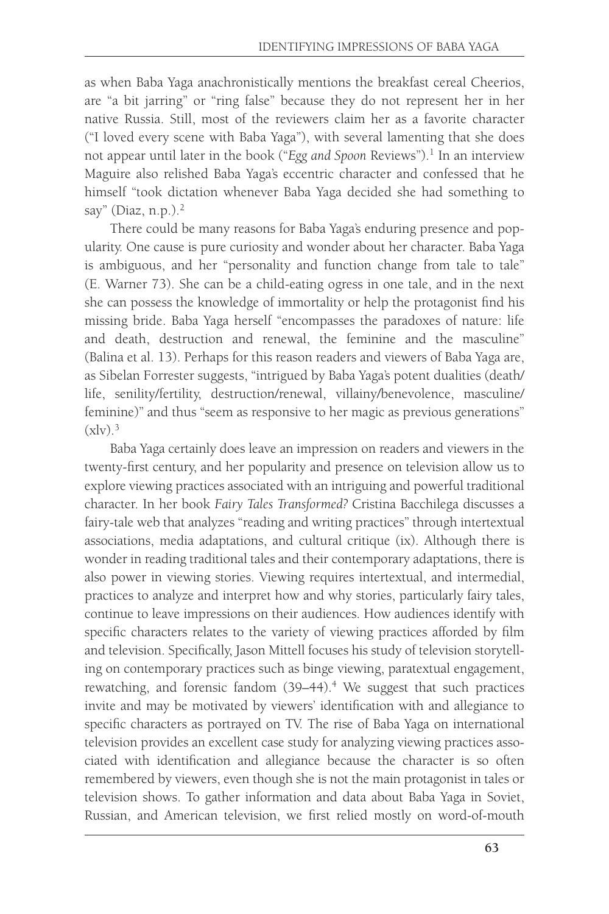as when Baba Yaga anachronistically mentions the breakfast cereal Cheerios, are "a bit jarring" or "ring false" because they do not represent her in her native Russia. Still, most of the reviewers claim her as a favorite character ("I loved every scene with Baba Yaga"), with several lamenting that she does not appear until later in the book ("*Egg and Spoon* Reviews").<sup>1</sup> In an interview Maguire also relished Baba Yaga's eccentric character and confessed that he himself "took dictation whenever Baba Yaga decided she had something to say" (Diaz,  $n.p.$ ).<sup>2</sup>

There could be many reasons for Baba Yaga's enduring presence and popularity. One cause is pure curiosity and wonder about her character. Baba Yaga is ambiguous, and her "personality and function change from tale to tale" (E. Warner 73). She can be a child-eating ogress in one tale, and in the next she can possess the knowledge of immortality or help the protagonist find his missing bride. Baba Yaga herself "encompasses the paradoxes of nature: life and death, destruction and renewal, the feminine and the masculine" (Balina et al. 13). Perhaps for this reason readers and viewers of Baba Yaga are, as Sibelan Forrester suggests, "intrigued by Baba Yaga's potent dualities (death/ life, senility/fertility, destruction/renewal, villainy/benevolence, masculine/ feminine)" and thus "seem as responsive to her magic as previous generations"  $(x\vert y)^3$ 

Baba Yaga certainly does leave an impression on readers and viewers in the twenty-first century, and her popularity and presence on television allow us to explore viewing practices associated with an intriguing and powerful traditional character. In her book *Fairy Tales Transformed?* Cristina Bacchilega discusses a fairy-tale web that analyzes "reading and writing practices" through intertextual associations, media adaptations, and cultural critique (ix). Although there is wonder in reading traditional tales and their contemporary adaptations, there is also power in viewing stories. Viewing requires intertextual, and intermedial, practices to analyze and interpret how and why stories, particularly fairy tales, continue to leave impressions on their audiences. How audiences identify with specific characters relates to the variety of viewing practices afforded by film and television. Specifically, Jason Mittell focuses his study of television storytelling on contemporary practices such as binge viewing, paratextual engagement, rewatching, and forensic fandom (39-44).<sup>4</sup> We suggest that such practices invite and may be motivated by viewers' identification with and allegiance to specific characters as portrayed on TV. The rise of Baba Yaga on international television provides an excellent case study for analyzing viewing practices associated with identification and allegiance because the character is so often remembered by viewers, even though she is not the main protagonist in tales or television shows. To gather information and data about Baba Yaga in Soviet, Russian, and American television, we first relied mostly on word-of-mouth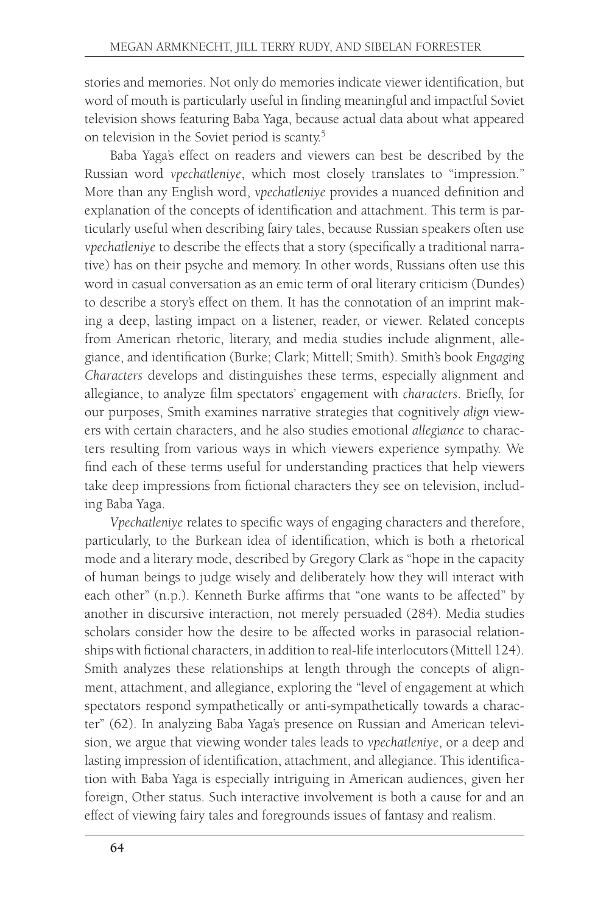stories and memories. Not only do memories indicate viewer identification, but word of mouth is particularly useful in finding meaningful and impactful Soviet television shows featuring Baba Yaga, because actual data about what appeared on television in the Soviet period is scanty.5

Baba Yaga's effect on readers and viewers can best be described by the Russian word *vpechatleniye*, which most closely translates to "impression." More than any English word, *vpechatleniye* provides a nuanced definition and explanation of the concepts of identification and attachment. This term is particularly useful when describing fairy tales, because Russian speakers often use *vpechatleniye* to describe the effects that a story (specifically a traditional narrative) has on their psyche and memory. In other words, Russians often use this word in casual conversation as an emic term of oral literary criticism (Dundes) to describe a story's effect on them. It has the connotation of an imprint making a deep, lasting impact on a listener, reader, or viewer. Related concepts from American rhetoric, literary, and media studies include alignment, allegiance, and identification (Burke; Clark; Mittell; Smith). Smith's book *Engaging Characters* develops and distinguishes these terms, especially alignment and allegiance, to analyze film spectators' engagement with *characters*. Briefly, for our purposes, Smith examines narrative strategies that cognitively *align* viewers with certain characters, and he also studies emotional *allegiance* to characters resulting from various ways in which viewers experience sympathy. We find each of these terms useful for understanding practices that help viewers take deep impressions from fictional characters they see on television, including Baba Yaga.

*Vpechatleniye* relates to specific ways of engaging characters and therefore, particularly, to the Burkean idea of identification, which is both a rhetorical mode and a literary mode, described by Gregory Clark as "hope in the capacity of human beings to judge wisely and deliberately how they will interact with each other" (n.p.). Kenneth Burke affirms that "one wants to be affected" by another in discursive interaction, not merely persuaded (284). Media studies scholars consider how the desire to be affected works in parasocial relationships with fictional characters, in addition to real-life interlocutors (Mittell 124). Smith analyzes these relationships at length through the concepts of alignment, attachment, and allegiance, exploring the "level of engagement at which spectators respond sympathetically or anti-sympathetically towards a character" (62). In analyzing Baba Yaga's presence on Russian and American television, we argue that viewing wonder tales leads to *vpechatleniye*, or a deep and lasting impression of identification, attachment, and allegiance. This identification with Baba Yaga is especially intriguing in American audiences, given her foreign, Other status. Such interactive involvement is both a cause for and an effect of viewing fairy tales and foregrounds issues of fantasy and realism.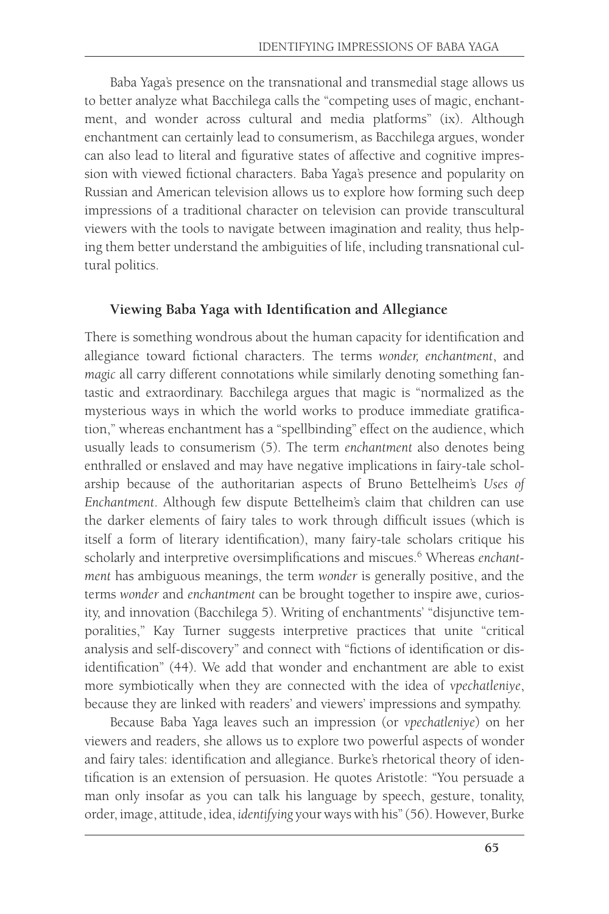Baba Yaga's presence on the transnational and transmedial stage allows us to better analyze what Bacchilega calls the "competing uses of magic, enchantment, and wonder across cultural and media platforms" (ix). Although enchantment can certainly lead to consumerism, as Bacchilega argues, wonder can also lead to literal and figurative states of affective and cognitive impression with viewed fictional characters. Baba Yaga's presence and popularity on Russian and American television allows us to explore how forming such deep impressions of a traditional character on television can provide transcultural viewers with the tools to navigate between imagination and reality, thus helping them better understand the ambiguities of life, including transnational cultural politics.

## **Viewing Baba Yaga with Identification and Allegiance**

There is something wondrous about the human capacity for identification and allegiance toward fictional characters. The terms *wonder, enchantment*, and *magic* all carry different connotations while similarly denoting something fantastic and extraordinary. Bacchilega argues that magic is "normalized as the mysterious ways in which the world works to produce immediate gratification," whereas enchantment has a "spellbinding" effect on the audience, which usually leads to consumerism (5). The term *enchantment* also denotes being enthralled or enslaved and may have negative implications in fairy-tale scholarship because of the authoritarian aspects of Bruno Bettelheim's *Uses of Enchantment*. Although few dispute Bettelheim's claim that children can use the darker elements of fairy tales to work through difficult issues (which is itself a form of literary identification), many fairy-tale scholars critique his scholarly and interpretive oversimplifications and miscues.<sup>6</sup> Whereas *enchantment* has ambiguous meanings, the term *wonder* is generally positive, and the terms *wonder* and *enchantment* can be brought together to inspire awe, curiosity, and innovation (Bacchilega 5). Writing of enchantments' "disjunctive temporalities," Kay Turner suggests interpretive practices that unite "critical analysis and self-discovery" and connect with "fictions of identification or disidentification" (44). We add that wonder and enchantment are able to exist more symbiotically when they are connected with the idea of *vpechatleniye*, because they are linked with readers' and viewers' impressions and sympathy.

Because Baba Yaga leaves such an impression (or *vpechatleniye*) on her viewers and readers, she allows us to explore two powerful aspects of wonder and fairy tales: identification and allegiance. Burke's rhetorical theory of identification is an extension of persuasion. He quotes Aristotle: "You persuade a man only insofar as you can talk his language by speech, gesture, tonality, order, image, attitude, idea, *identifying* your ways with his" (56). However, Burke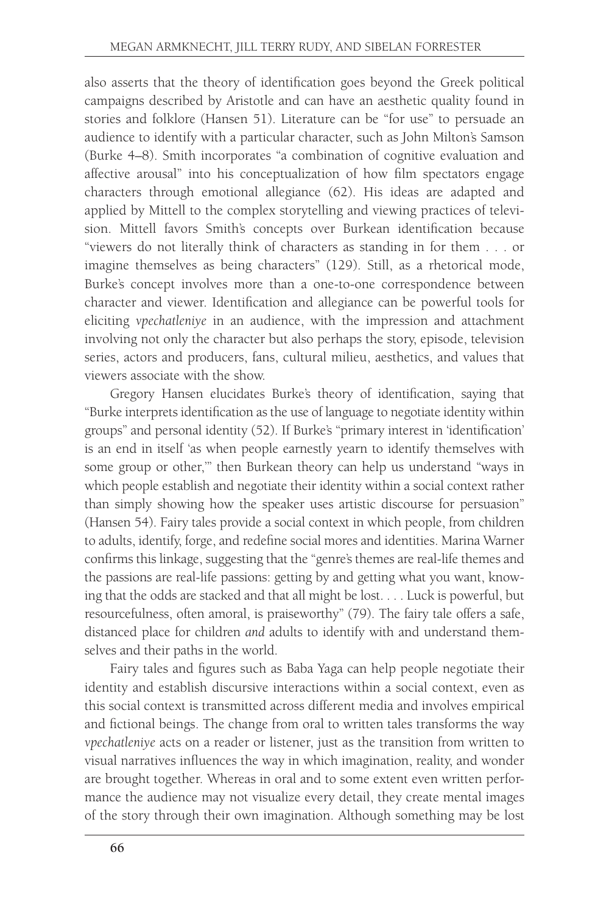also asserts that the theory of identification goes beyond the Greek political campaigns described by Aristotle and can have an aesthetic quality found in stories and folklore (Hansen 51). Literature can be "for use" to persuade an audience to identify with a particular character, such as John Milton's Samson (Burke 4–8). Smith incorporates "a combination of cognitive evaluation and affective arousal" into his conceptualization of how film spectators engage characters through emotional allegiance (62). His ideas are adapted and applied by Mittell to the complex storytelling and viewing practices of television. Mittell favors Smith's concepts over Burkean identification because "viewers do not literally think of characters as standing in for them . . . or imagine themselves as being characters" (129). Still, as a rhetorical mode, Burke's concept involves more than a one-to-one correspondence between character and viewer. Identification and allegiance can be powerful tools for eliciting *vpechatleniye* in an audience, with the impression and attachment involving not only the character but also perhaps the story, episode, television series, actors and producers, fans, cultural milieu, aesthetics, and values that viewers associate with the show.

Gregory Hansen elucidates Burke's theory of identification, saying that "Burke interprets identification as the use of language to negotiate identity within groups" and personal identity (52). If Burke's "primary interest in 'identification' is an end in itself 'as when people earnestly yearn to identify themselves with some group or other,'" then Burkean theory can help us understand "ways in which people establish and negotiate their identity within a social context rather than simply showing how the speaker uses artistic discourse for persuasion" (Hansen 54). Fairy tales provide a social context in which people, from children to adults, identify, forge, and redefine social mores and identities. Marina Warner confirms this linkage, suggesting that the "genre's themes are real-life themes and the passions are real-life passions: getting by and getting what you want, knowing that the odds are stacked and that all might be lost. . . . Luck is powerful, but resourcefulness, often amoral, is praiseworthy" (79). The fairy tale offers a safe, distanced place for children *and* adults to identify with and understand themselves and their paths in the world.

Fairy tales and figures such as Baba Yaga can help people negotiate their identity and establish discursive interactions within a social context, even as this social context is transmitted across different media and involves empirical and fictional beings. The change from oral to written tales transforms the way *vpechatleniye* acts on a reader or listener, just as the transition from written to visual narratives influences the way in which imagination, reality, and wonder are brought together. Whereas in oral and to some extent even written performance the audience may not visualize every detail, they create mental images of the story through their own imagination. Although something may be lost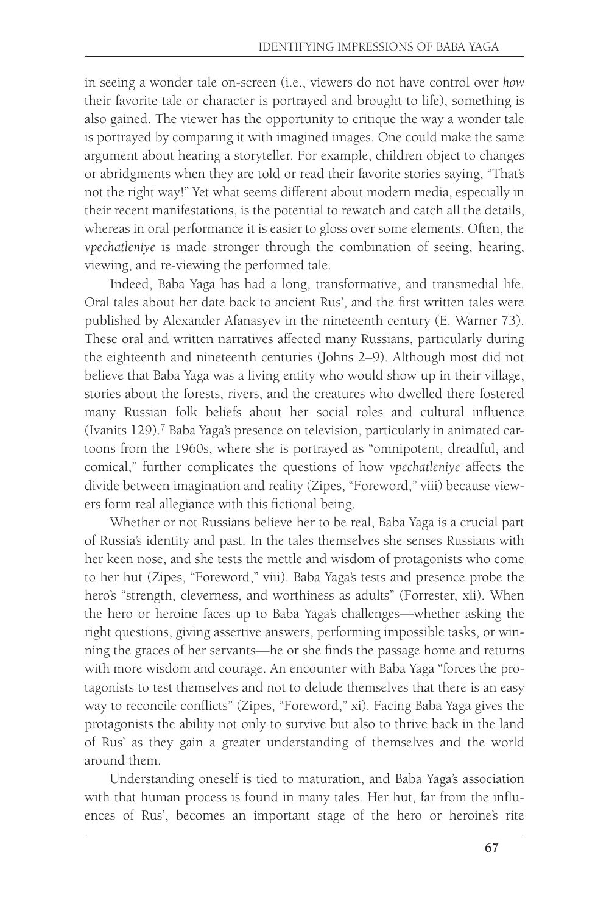in seeing a wonder tale on-screen (i.e., viewers do not have control over *how* their favorite tale or character is portrayed and brought to life), something is also gained. The viewer has the opportunity to critique the way a wonder tale is portrayed by comparing it with imagined images. One could make the same argument about hearing a storyteller. For example, children object to changes or abridgments when they are told or read their favorite stories saying, "That's not the right way!" Yet what seems different about modern media, especially in their recent manifestations, is the potential to rewatch and catch all the details, whereas in oral performance it is easier to gloss over some elements. Often, the *vpechatleniye* is made stronger through the combination of seeing, hearing, viewing, and re-viewing the performed tale.

Indeed, Baba Yaga has had a long, transformative, and transmedial life. Oral tales about her date back to ancient Rus', and the first written tales were published by Alexander Afanasyev in the nineteenth century (E. Warner 73). These oral and written narratives affected many Russians, particularly during the eighteenth and nineteenth centuries (Johns 2–9). Although most did not believe that Baba Yaga was a living entity who would show up in their village, stories about the forests, rivers, and the creatures who dwelled there fostered many Russian folk beliefs about her social roles and cultural influence (Ivanits 129).<sup>7</sup> Baba Yaga's presence on television, particularly in animated cartoons from the 1960s, where she is portrayed as "omnipotent, dreadful, and comical," further complicates the questions of how *vpechatleniye* affects the divide between imagination and reality (Zipes, "Foreword," viii) because viewers form real allegiance with this fictional being.

Whether or not Russians believe her to be real, Baba Yaga is a crucial part of Russia's identity and past. In the tales themselves she senses Russians with her keen nose, and she tests the mettle and wisdom of protagonists who come to her hut (Zipes, "Foreword," viii). Baba Yaga's tests and presence probe the hero's "strength, cleverness, and worthiness as adults" (Forrester, xli). When the hero or heroine faces up to Baba Yaga's challenges—whether asking the right questions, giving assertive answers, performing impossible tasks, or winning the graces of her servants—he or she finds the passage home and returns with more wisdom and courage. An encounter with Baba Yaga "forces the protagonists to test themselves and not to delude themselves that there is an easy way to reconcile conflicts" (Zipes, "Foreword," xi). Facing Baba Yaga gives the protagonists the ability not only to survive but also to thrive back in the land of Rus' as they gain a greater understanding of themselves and the world around them.

Understanding oneself is tied to maturation, and Baba Yaga's association with that human process is found in many tales. Her hut, far from the influences of Rus', becomes an important stage of the hero or heroine's rite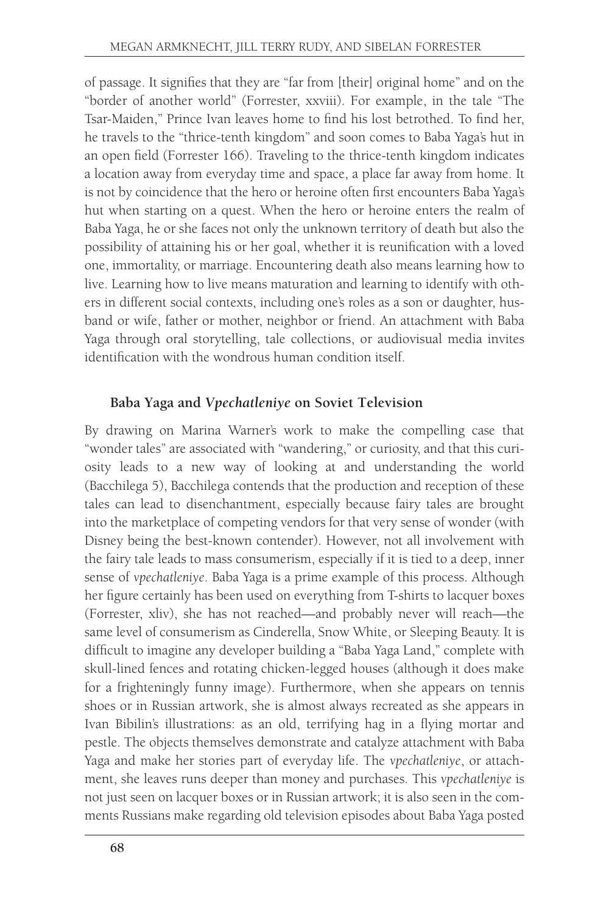of passage. It signifies that they are "far from [their] original home" and on the "border of another world" (Forrester, xxviii). For example, in the tale "The Tsar-Maiden," Prince Ivan leaves home to find his lost betrothed. To find her, he travels to the "thrice-tenth kingdom" and soon comes to Baba Yaga's hut in an open field (Forrester 166). Traveling to the thrice-tenth kingdom indicates a location away from everyday time and space, a place far away from home. It is not by coincidence that the hero or heroine often first encounters Baba Yaga's hut when starting on a quest. When the hero or heroine enters the realm of Baba Yaga, he or she faces not only the unknown territory of death but also the possibility of attaining his or her goal, whether it is reunification with a loved one, immortality, or marriage. Encountering death also means learning how to live. Learning how to live means maturation and learning to identify with others in different social contexts, including one's roles as a son or daughter, husband or wife, father or mother, neighbor or friend. An attachment with Baba Yaga through oral storytelling, tale collections, or audiovisual media invites identification with the wondrous human condition itself.

# **Baba Yaga and** *Vpechatleniye* **on Soviet Television**

By drawing on Marina Warner's work to make the compelling case that "wonder tales" are associated with "wandering," or curiosity, and that this curiosity leads to a new way of looking at and understanding the world (Bacchilega 5), Bacchilega contends that the production and reception of these tales can lead to disenchantment, especially because fairy tales are brought into the marketplace of competing vendors for that very sense of wonder (with Disney being the best-known contender). However, not all involvement with the fairy tale leads to mass consumerism, especially if it is tied to a deep, inner sense of *vpechatleniye*. Baba Yaga is a prime example of this process. Although her figure certainly has been used on everything from T-shirts to lacquer boxes (Forrester, xliv), she has not reached—and probably never will reach—the same level of consumerism as Cinderella, Snow White, or Sleeping Beauty. It is difficult to imagine any developer building a "Baba Yaga Land," complete with skull-lined fences and rotating chicken-legged houses (although it does make for a frighteningly funny image). Furthermore, when she appears on tennis shoes or in Russian artwork, she is almost always recreated as she appears in Ivan Bibilin's illustrations: as an old, terrifying hag in a flying mortar and pestle. The objects themselves demonstrate and catalyze attachment with Baba Yaga and make her stories part of everyday life. The *vpechatleniye*, or attachment, she leaves runs deeper than money and purchases. This *vpechatleniye* is not just seen on lacquer boxes or in Russian artwork; it is also seen in the comments Russians make regarding old television episodes about Baba Yaga posted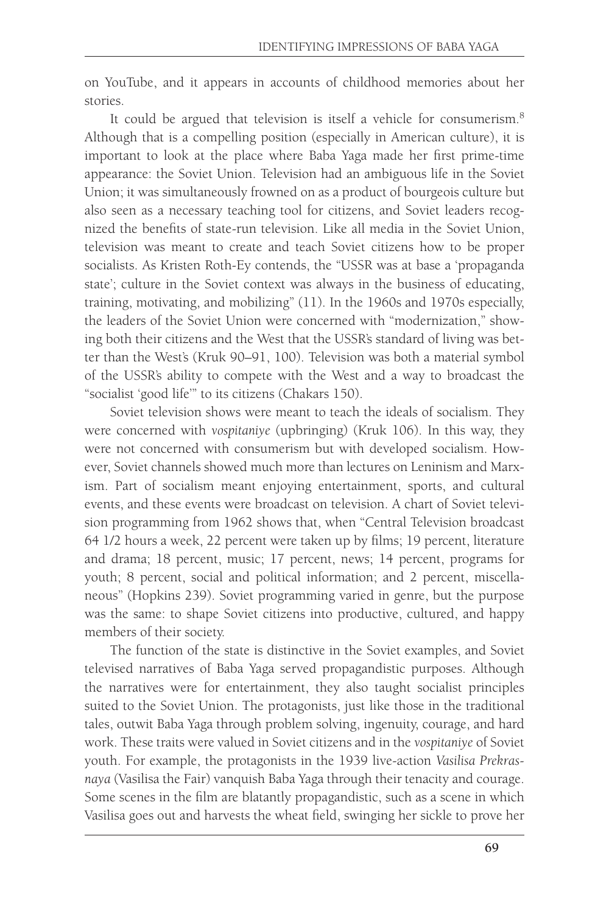on YouTube, and it appears in accounts of childhood memories about her stories.

It could be argued that television is itself a vehicle for consumerism.<sup>8</sup> Although that is a compelling position (especially in American culture), it is important to look at the place where Baba Yaga made her first prime-time appearance: the Soviet Union. Television had an ambiguous life in the Soviet Union; it was simultaneously frowned on as a product of bourgeois culture but also seen as a necessary teaching tool for citizens, and Soviet leaders recognized the benefits of state-run television. Like all media in the Soviet Union, television was meant to create and teach Soviet citizens how to be proper socialists. As Kristen Roth-Ey contends, the "USSR was at base a 'propaganda state'; culture in the Soviet context was always in the business of educating, training, motivating, and mobilizing" (11). In the 1960s and 1970s especially, the leaders of the Soviet Union were concerned with "modernization," showing both their citizens and the West that the USSR's standard of living was better than the West's (Kruk 90–91, 100). Television was both a material symbol of the USSR's ability to compete with the West and a way to broadcast the "socialist 'good life'" to its citizens (Chakars 150).

Soviet television shows were meant to teach the ideals of socialism. They were concerned with *vospitaniye* (upbringing) (Kruk 106). In this way, they were not concerned with consumerism but with developed socialism. However, Soviet channels showed much more than lectures on Leninism and Marxism. Part of socialism meant enjoying entertainment, sports, and cultural events, and these events were broadcast on television. A chart of Soviet television programming from 1962 shows that, when "Central Television broadcast 64 1/2 hours a week, 22 percent were taken up by films; 19 percent, literature and drama; 18 percent, music; 17 percent, news; 14 percent, programs for youth; 8 percent, social and political information; and 2 percent, miscellaneous" (Hopkins 239). Soviet programming varied in genre, but the purpose was the same: to shape Soviet citizens into productive, cultured, and happy members of their society.

The function of the state is distinctive in the Soviet examples, and Soviet televised narratives of Baba Yaga served propagandistic purposes. Although the narratives were for entertainment, they also taught socialist principles suited to the Soviet Union. The protagonists, just like those in the traditional tales, outwit Baba Yaga through problem solving, ingenuity, courage, and hard work. These traits were valued in Soviet citizens and in the *vospitaniye* of Soviet youth. For example, the protagonists in the 1939 live-action *Vasilisa Prekrasnaya* (Vasilisa the Fair) vanquish Baba Yaga through their tenacity and courage. Some scenes in the film are blatantly propagandistic, such as a scene in which Vasilisa goes out and harvests the wheat field, swinging her sickle to prove her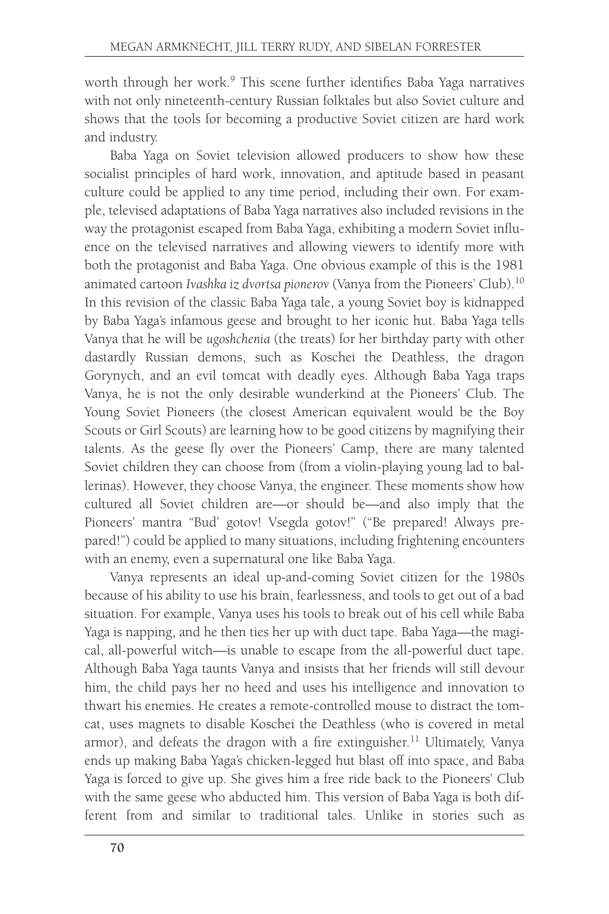worth through her work.9 This scene further identifies Baba Yaga narratives with not only nineteenth-century Russian folktales but also Soviet culture and shows that the tools for becoming a productive Soviet citizen are hard work and industry.

Baba Yaga on Soviet television allowed producers to show how these socialist principles of hard work, innovation, and aptitude based in peasant culture could be applied to any time period, including their own. For example, televised adaptations of Baba Yaga narratives also included revisions in the way the protagonist escaped from Baba Yaga, exhibiting a modern Soviet influence on the televised narratives and allowing viewers to identify more with both the protagonist and Baba Yaga. One obvious example of this is the 1981 animated cartoon *Ivashka iz dvortsa pionerov* (Vanya from the Pioneers' Club).10 In this revision of the classic Baba Yaga tale, a young Soviet boy is kidnapped by Baba Yaga's infamous geese and brought to her iconic hut. Baba Yaga tells Vanya that he will be *ugoshchenia* (the treats) for her birthday party with other dastardly Russian demons, such as Koschei the Deathless, the dragon Gorynych, and an evil tomcat with deadly eyes. Although Baba Yaga traps Vanya, he is not the only desirable wunderkind at the Pioneers' Club. The Young Soviet Pioneers (the closest American equivalent would be the Boy Scouts or Girl Scouts) are learning how to be good citizens by magnifying their talents. As the geese fly over the Pioneers' Camp, there are many talented Soviet children they can choose from (from a violin-playing young lad to ballerinas). However, they choose Vanya, the engineer. These moments show how cultured all Soviet children are—or should be—and also imply that the Pioneers' mantra "Bud' gotov! Vsegda gotov!" ("Be prepared! Always prepared!") could be applied to many situations, including frightening encounters with an enemy, even a supernatural one like Baba Yaga.

Vanya represents an ideal up-and-coming Soviet citizen for the 1980s because of his ability to use his brain, fearlessness, and tools to get out of a bad situation. For example, Vanya uses his tools to break out of his cell while Baba Yaga is napping, and he then ties her up with duct tape. Baba Yaga—the magical, all-powerful witch—is unable to escape from the all-powerful duct tape. Although Baba Yaga taunts Vanya and insists that her friends will still devour him, the child pays her no heed and uses his intelligence and innovation to thwart his enemies. He creates a remote-controlled mouse to distract the tomcat, uses magnets to disable Koschei the Deathless (who is covered in metal armor), and defeats the dragon with a fire extinguisher.<sup>11</sup> Ultimately, Vanya ends up making Baba Yaga's chicken-legged hut blast off into space, and Baba Yaga is forced to give up. She gives him a free ride back to the Pioneers' Club with the same geese who abducted him. This version of Baba Yaga is both different from and similar to traditional tales. Unlike in stories such as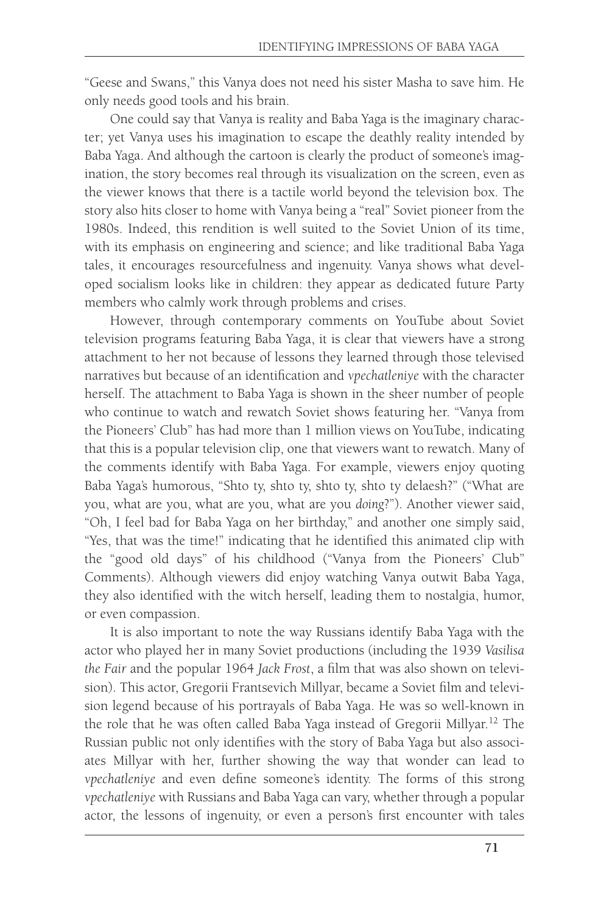"Geese and Swans," this Vanya does not need his sister Masha to save him. He only needs good tools and his brain.

One could say that Vanya is reality and Baba Yaga is the imaginary character; yet Vanya uses his imagination to escape the deathly reality intended by Baba Yaga. And although the cartoon is clearly the product of someone's imagination, the story becomes real through its visualization on the screen, even as the viewer knows that there is a tactile world beyond the television box. The story also hits closer to home with Vanya being a "real" Soviet pioneer from the 1980s. Indeed, this rendition is well suited to the Soviet Union of its time, with its emphasis on engineering and science; and like traditional Baba Yaga tales, it encourages resourcefulness and ingenuity. Vanya shows what developed socialism looks like in children: they appear as dedicated future Party members who calmly work through problems and crises.

However, through contemporary comments on YouTube about Soviet television programs featuring Baba Yaga, it is clear that viewers have a strong attachment to her not because of lessons they learned through those televised narratives but because of an identification and *vpechatleniye* with the character herself. The attachment to Baba Yaga is shown in the sheer number of people who continue to watch and rewatch Soviet shows featuring her. "Vanya from the Pioneers' Club" has had more than 1 million views on YouTube, indicating that this is a popular television clip, one that viewers want to rewatch. Many of the comments identify with Baba Yaga. For example, viewers enjoy quoting Baba Yaga's humorous, "Shto ty, shto ty, shto ty, shto ty delaesh?" ("What are you, what are you, what are you, what are you *doing*?"). Another viewer said, "Oh, I feel bad for Baba Yaga on her birthday," and another one simply said, "Yes, that was the time!" indicating that he identified this animated clip with the "good old days" of his childhood ("Vanya from the Pioneers' Club" Comments). Although viewers did enjoy watching Vanya outwit Baba Yaga, they also identified with the witch herself, leading them to nostalgia, humor, or even compassion.

It is also important to note the way Russians identify Baba Yaga with the actor who played her in many Soviet productions (including the 1939 *Vasilisa the Fair* and the popular 1964 *Jack Frost*, a film that was also shown on television). This actor, Gregorii Frantsevich Millyar, became a Soviet film and television legend because of his portrayals of Baba Yaga. He was so well-known in the role that he was often called Baba Yaga instead of Gregorii Millyar.12 The Russian public not only identifies with the story of Baba Yaga but also associates Millyar with her, further showing the way that wonder can lead to *vpechatleniye* and even define someone's identity. The forms of this strong *vpechatleniye* with Russians and Baba Yaga can vary, whether through a popular actor, the lessons of ingenuity, or even a person's first encounter with tales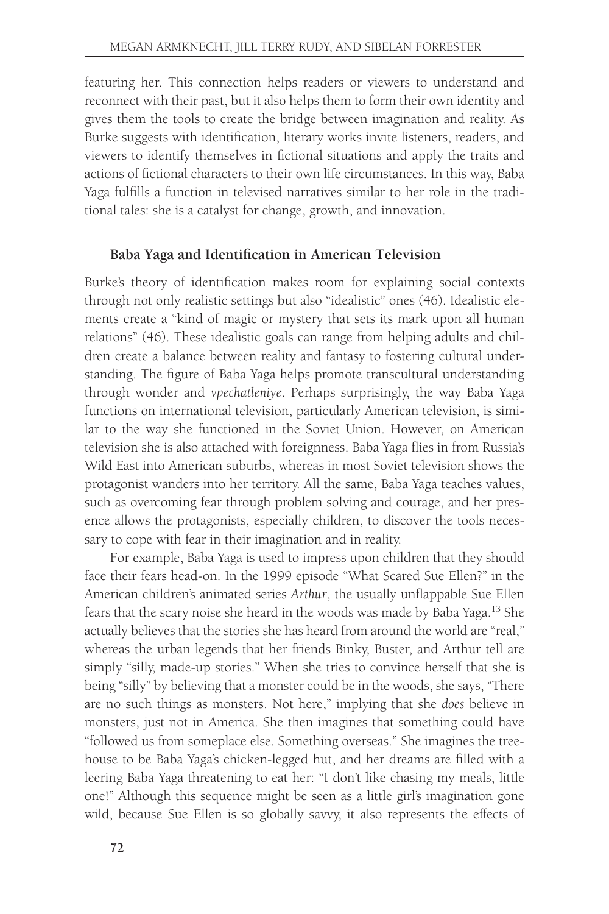featuring her. This connection helps readers or viewers to understand and reconnect with their past, but it also helps them to form their own identity and gives them the tools to create the bridge between imagination and reality. As Burke suggests with identification, literary works invite listeners, readers, and viewers to identify themselves in fictional situations and apply the traits and actions of fictional characters to their own life circumstances. In this way, Baba Yaga fulfills a function in televised narratives similar to her role in the traditional tales: she is a catalyst for change, growth, and innovation.

# **Baba Yaga and Identification in American Television**

Burke's theory of identification makes room for explaining social contexts through not only realistic settings but also "idealistic" ones (46). Idealistic elements create a "kind of magic or mystery that sets its mark upon all human relations" (46). These idealistic goals can range from helping adults and children create a balance between reality and fantasy to fostering cultural understanding. The figure of Baba Yaga helps promote transcultural understanding through wonder and *vpechatleniye*. Perhaps surprisingly, the way Baba Yaga functions on international television, particularly American television, is similar to the way she functioned in the Soviet Union. However, on American television she is also attached with foreignness. Baba Yaga flies in from Russia's Wild East into American suburbs, whereas in most Soviet television shows the protagonist wanders into her territory. All the same, Baba Yaga teaches values, such as overcoming fear through problem solving and courage, and her presence allows the protagonists, especially children, to discover the tools necessary to cope with fear in their imagination and in reality.

For example, Baba Yaga is used to impress upon children that they should face their fears head-on. In the 1999 episode "What Scared Sue Ellen?" in the American children's animated series *Arthur*, the usually unflappable Sue Ellen fears that the scary noise she heard in the woods was made by Baba Yaga.<sup>13</sup> She actually believes that the stories she has heard from around the world are "real," whereas the urban legends that her friends Binky, Buster, and Arthur tell are simply "silly, made-up stories." When she tries to convince herself that she is being "silly" by believing that a monster could be in the woods, she says, "There are no such things as monsters. Not here," implying that she *does* believe in monsters, just not in America. She then imagines that something could have "followed us from someplace else. Something overseas." She imagines the treehouse to be Baba Yaga's chicken-legged hut, and her dreams are filled with a leering Baba Yaga threatening to eat her: "I don't like chasing my meals, little one!" Although this sequence might be seen as a little girl's imagination gone wild, because Sue Ellen is so globally savvy, it also represents the effects of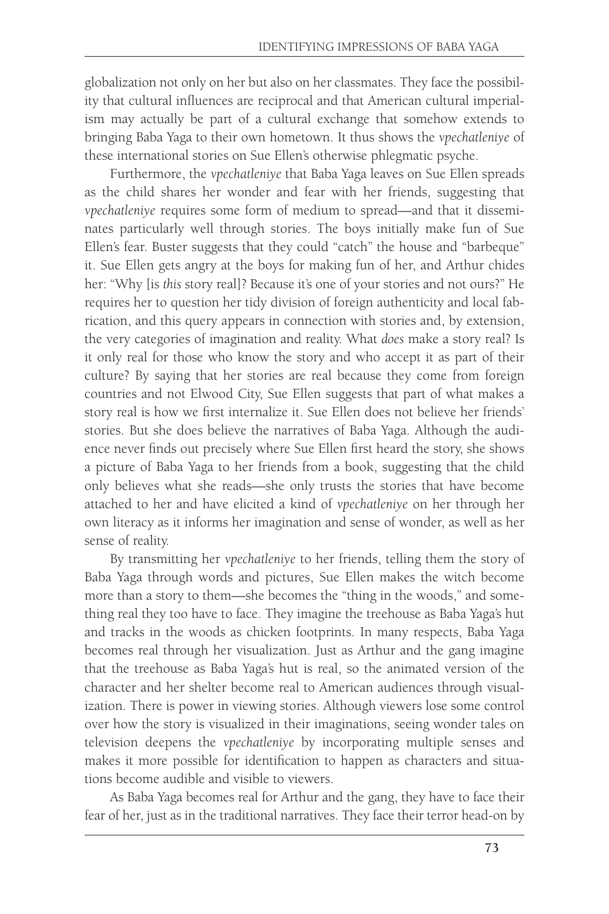globalization not only on her but also on her classmates. They face the possibility that cultural influences are reciprocal and that American cultural imperialism may actually be part of a cultural exchange that somehow extends to bringing Baba Yaga to their own hometown. It thus shows the *vpechatleniye* of these international stories on Sue Ellen's otherwise phlegmatic psyche.

Furthermore, the *vpechatleniye* that Baba Yaga leaves on Sue Ellen spreads as the child shares her wonder and fear with her friends, suggesting that *vpechatleniye* requires some form of medium to spread—and that it disseminates particularly well through stories. The boys initially make fun of Sue Ellen's fear. Buster suggests that they could "catch" the house and "barbeque" it. Sue Ellen gets angry at the boys for making fun of her, and Arthur chides her: "Why [is *this* story real]? Because it's one of your stories and not ours?" He requires her to question her tidy division of foreign authenticity and local fabrication, and this query appears in connection with stories and, by extension, the very categories of imagination and reality. What *does* make a story real? Is it only real for those who know the story and who accept it as part of their culture? By saying that her stories are real because they come from foreign countries and not Elwood City, Sue Ellen suggests that part of what makes a story real is how we first internalize it. Sue Ellen does not believe her friends' stories. But she does believe the narratives of Baba Yaga. Although the audience never finds out precisely where Sue Ellen first heard the story, she shows a picture of Baba Yaga to her friends from a book, suggesting that the child only believes what she reads—she only trusts the stories that have become attached to her and have elicited a kind of *vpechatleniye* on her through her own literacy as it informs her imagination and sense of wonder, as well as her sense of reality.

By transmitting her *vpechatleniye* to her friends, telling them the story of Baba Yaga through words and pictures, Sue Ellen makes the witch become more than a story to them—she becomes the "thing in the woods," and something real they too have to face. They imagine the treehouse as Baba Yaga's hut and tracks in the woods as chicken footprints. In many respects, Baba Yaga becomes real through her visualization. Just as Arthur and the gang imagine that the treehouse as Baba Yaga's hut is real, so the animated version of the character and her shelter become real to American audiences through visualization. There is power in viewing stories. Although viewers lose some control over how the story is visualized in their imaginations, seeing wonder tales on television deepens the *vpechatleniye* by incorporating multiple senses and makes it more possible for identification to happen as characters and situations become audible and visible to viewers.

As Baba Yaga becomes real for Arthur and the gang, they have to face their fear of her, just as in the traditional narratives. They face their terror head-on by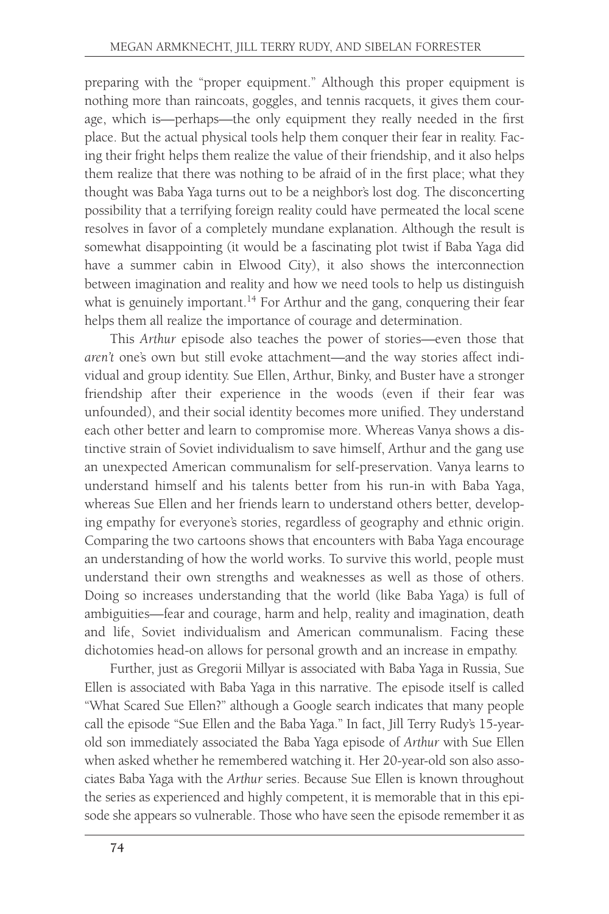preparing with the "proper equipment." Although this proper equipment is nothing more than raincoats, goggles, and tennis racquets, it gives them courage, which is—perhaps—the only equipment they really needed in the first place. But the actual physical tools help them conquer their fear in reality. Facing their fright helps them realize the value of their friendship, and it also helps them realize that there was nothing to be afraid of in the first place; what they thought was Baba Yaga turns out to be a neighbor's lost dog. The disconcerting possibility that a terrifying foreign reality could have permeated the local scene resolves in favor of a completely mundane explanation. Although the result is somewhat disappointing (it would be a fascinating plot twist if Baba Yaga did have a summer cabin in Elwood City), it also shows the interconnection between imagination and reality and how we need tools to help us distinguish what is genuinely important.<sup>14</sup> For Arthur and the gang, conquering their fear helps them all realize the importance of courage and determination.

This *Arthur* episode also teaches the power of stories—even those that *aren't* one's own but still evoke attachment—and the way stories affect individual and group identity. Sue Ellen, Arthur, Binky, and Buster have a stronger friendship after their experience in the woods (even if their fear was unfounded), and their social identity becomes more unified. They understand each other better and learn to compromise more. Whereas Vanya shows a distinctive strain of Soviet individualism to save himself, Arthur and the gang use an unexpected American communalism for self-preservation. Vanya learns to understand himself and his talents better from his run-in with Baba Yaga, whereas Sue Ellen and her friends learn to understand others better, developing empathy for everyone's stories, regardless of geography and ethnic origin. Comparing the two cartoons shows that encounters with Baba Yaga encourage an understanding of how the world works. To survive this world, people must understand their own strengths and weaknesses as well as those of others. Doing so increases understanding that the world (like Baba Yaga) is full of ambiguities—fear and courage, harm and help, reality and imagination, death and life, Soviet individualism and American communalism. Facing these dichotomies head-on allows for personal growth and an increase in empathy.

Further, just as Gregorii Millyar is associated with Baba Yaga in Russia, Sue Ellen is associated with Baba Yaga in this narrative. The episode itself is called "What Scared Sue Ellen?" although a Google search indicates that many people call the episode "Sue Ellen and the Baba Yaga." In fact, Jill Terry Rudy's 15-yearold son immediately associated the Baba Yaga episode of *Arthur* with Sue Ellen when asked whether he remembered watching it. Her 20-year-old son also associates Baba Yaga with the *Arthur* series. Because Sue Ellen is known throughout the series as experienced and highly competent, it is memorable that in this episode she appears so vulnerable. Those who have seen the episode remember it as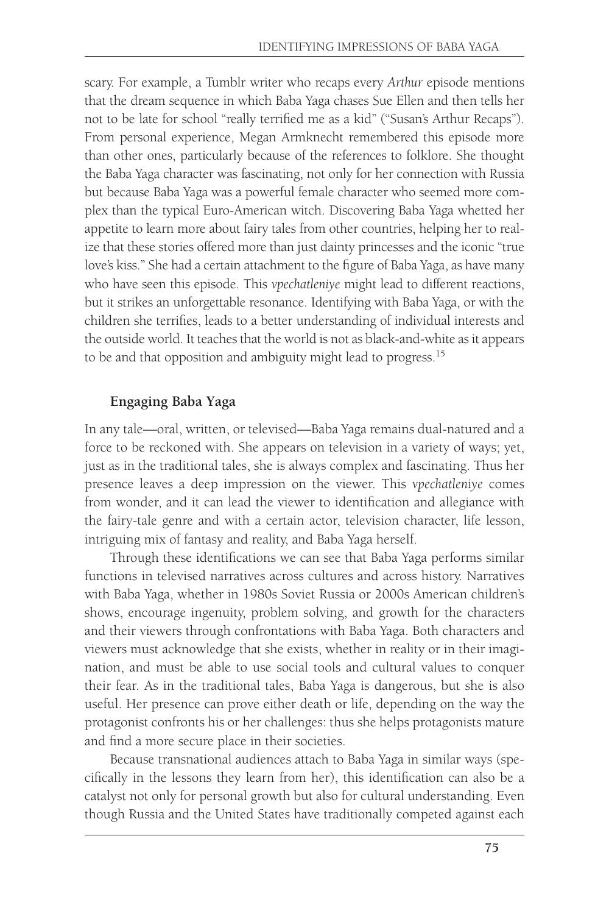scary. For example, a Tumblr writer who recaps every *Arthur* episode mentions that the dream sequence in which Baba Yaga chases Sue Ellen and then tells her not to be late for school "really terrified me as a kid" ("Susan's Arthur Recaps"). From personal experience, Megan Armknecht remembered this episode more than other ones, particularly because of the references to folklore. She thought the Baba Yaga character was fascinating, not only for her connection with Russia but because Baba Yaga was a powerful female character who seemed more complex than the typical Euro-American witch. Discovering Baba Yaga whetted her appetite to learn more about fairy tales from other countries, helping her to realize that these stories offered more than just dainty princesses and the iconic "true love's kiss." She had a certain attachment to the figure of Baba Yaga, as have many who have seen this episode. This *vpechatleniye* might lead to different reactions, but it strikes an unforgettable resonance. Identifying with Baba Yaga, or with the children she terrifies, leads to a better understanding of individual interests and the outside world. It teaches that the world is not as black-and-white as it appears to be and that opposition and ambiguity might lead to progress.15

## **Engaging Baba Yaga**

In any tale—oral, written, or televised—Baba Yaga remains dual-natured and a force to be reckoned with. She appears on television in a variety of ways; yet, just as in the traditional tales, she is always complex and fascinating. Thus her presence leaves a deep impression on the viewer. This *vpechatleniye* comes from wonder, and it can lead the viewer to identification and allegiance with the fairy-tale genre and with a certain actor, television character, life lesson, intriguing mix of fantasy and reality, and Baba Yaga herself.

Through these identifications we can see that Baba Yaga performs similar functions in televised narratives across cultures and across history. Narratives with Baba Yaga, whether in 1980s Soviet Russia or 2000s American children's shows, encourage ingenuity, problem solving, and growth for the characters and their viewers through confrontations with Baba Yaga. Both characters and viewers must acknowledge that she exists, whether in reality or in their imagination, and must be able to use social tools and cultural values to conquer their fear. As in the traditional tales, Baba Yaga is dangerous, but she is also useful. Her presence can prove either death or life, depending on the way the protagonist confronts his or her challenges: thus she helps protagonists mature and find a more secure place in their societies.

Because transnational audiences attach to Baba Yaga in similar ways (specifically in the lessons they learn from her), this identification can also be a catalyst not only for personal growth but also for cultural understanding. Even though Russia and the United States have traditionally competed against each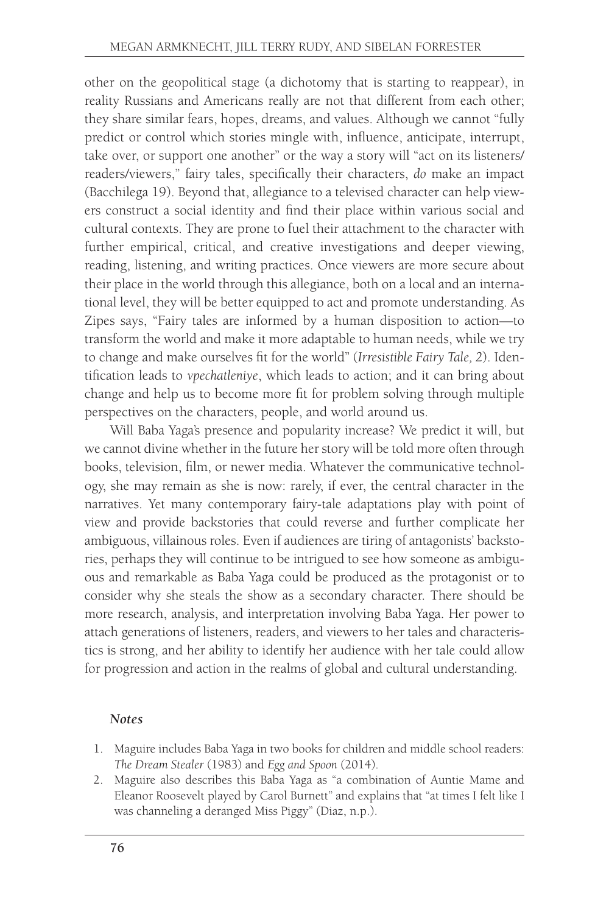other on the geopolitical stage (a dichotomy that is starting to reappear), in reality Russians and Americans really are not that different from each other; they share similar fears, hopes, dreams, and values. Although we cannot "fully predict or control which stories mingle with, influence, anticipate, interrupt, take over, or support one another" or the way a story will "act on its listeners/ readers/viewers," fairy tales, specifically their characters, *do* make an impact (Bacchilega 19). Beyond that, allegiance to a televised character can help viewers construct a social identity and find their place within various social and cultural contexts. They are prone to fuel their attachment to the character with further empirical, critical, and creative investigations and deeper viewing, reading, listening, and writing practices. Once viewers are more secure about their place in the world through this allegiance, both on a local and an international level, they will be better equipped to act and promote understanding. As Zipes says, "Fairy tales are informed by a human disposition to action—to transform the world and make it more adaptable to human needs, while we try to change and make ourselves fit for the world" (*Irresistible Fairy Tale, 2*). Identification leads to *vpechatleniye*, which leads to action; and it can bring about change and help us to become more fit for problem solving through multiple perspectives on the characters, people, and world around us.

Will Baba Yaga's presence and popularity increase? We predict it will, but we cannot divine whether in the future her story will be told more often through books, television, film, or newer media. Whatever the communicative technology, she may remain as she is now: rarely, if ever, the central character in the narratives. Yet many contemporary fairy-tale adaptations play with point of view and provide backstories that could reverse and further complicate her ambiguous, villainous roles. Even if audiences are tiring of antagonists' backstories, perhaps they will continue to be intrigued to see how someone as ambiguous and remarkable as Baba Yaga could be produced as the protagonist or to consider why she steals the show as a secondary character. There should be more research, analysis, and interpretation involving Baba Yaga. Her power to attach generations of listeners, readers, and viewers to her tales and characteristics is strong, and her ability to identify her audience with her tale could allow for progression and action in the realms of global and cultural understanding.

### *Notes*

- 1. Maguire includes Baba Yaga in two books for children and middle school readers: *The Dream Stealer* (1983) and *Egg and Spoon* (2014).
- 2. Maguire also describes this Baba Yaga as "a combination of Auntie Mame and Eleanor Roosevelt played by Carol Burnett" and explains that "at times I felt like I was channeling a deranged Miss Piggy" (Diaz, n.p.).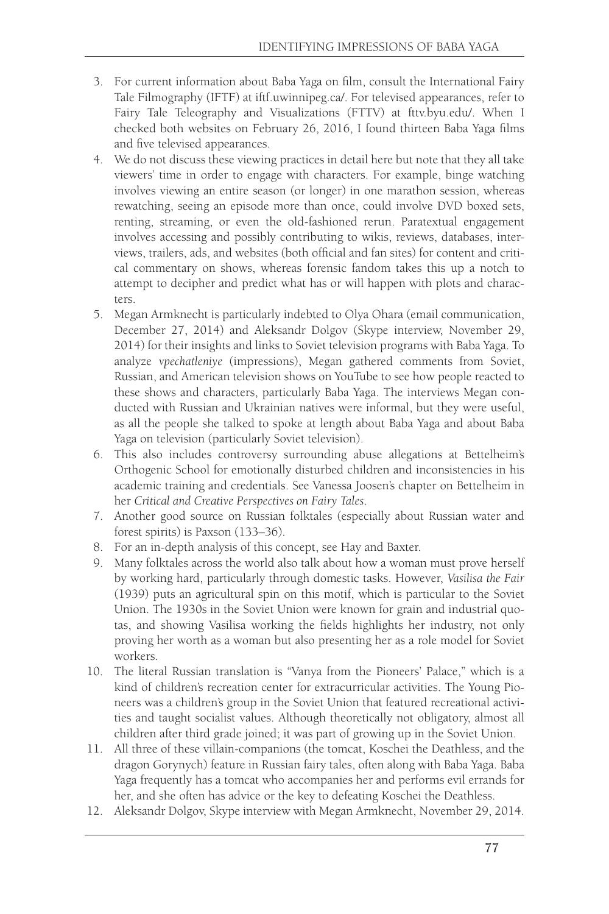- 3. For current information about Baba Yaga on film, consult the International Fairy Tale Filmography (IFTF) at iftf.uwinnipeg.ca/. For televised appearances, refer to Fairy Tale Teleography and Visualizations (FTTV) at [fttv.byu.edu/.](http://www.fttv.byu.edu) When I checked both websites on February 26, 2016, I found thirteen Baba Yaga films and five televised appearances.
- 4. We do not discuss these viewing practices in detail here but note that they all take viewers' time in order to engage with characters. For example, binge watching involves viewing an entire season (or longer) in one marathon session, whereas rewatching, seeing an episode more than once, could involve DVD boxed sets, renting, streaming, or even the old-fashioned rerun. Paratextual engagement involves accessing and possibly contributing to wikis, reviews, databases, interviews, trailers, ads, and websites (both official and fan sites) for content and critical commentary on shows, whereas forensic fandom takes this up a notch to attempt to decipher and predict what has or will happen with plots and characters.
- 5. Megan Armknecht is particularly indebted to Olya Ohara (email communication, December 27, 2014) and Aleksandr Dolgov (Skype interview, November 29, 2014) for their insights and links to Soviet television programs with Baba Yaga. To analyze *vpechatleniye* (impressions), Megan gathered comments from Soviet, Russian, and American television shows on YouTube to see how people reacted to these shows and characters, particularly Baba Yaga. The interviews Megan conducted with Russian and Ukrainian natives were informal, but they were useful, as all the people she talked to spoke at length about Baba Yaga and about Baba Yaga on television (particularly Soviet television).
- 6. This also includes controversy surrounding abuse allegations at Bettelheim's Orthogenic School for emotionally disturbed children and inconsistencies in his academic training and credentials. See Vanessa Joosen's chapter on Bettelheim in her *Critical and Creative Perspectives on Fairy Tales*.
- 7. Another good source on Russian folktales (especially about Russian water and forest spirits) is Paxson (133–36).
- 8. For an in-depth analysis of this concept, see Hay and Baxter.
- 9. Many folktales across the world also talk about how a woman must prove herself by working hard, particularly through domestic tasks. However, *Vasilisa the Fair* (1939) puts an agricultural spin on this motif, which is particular to the Soviet Union. The 1930s in the Soviet Union were known for grain and industrial quotas, and showing Vasilisa working the fields highlights her industry, not only proving her worth as a woman but also presenting her as a role model for Soviet workers.
- 10. The literal Russian translation is "Vanya from the Pioneers' Palace," which is a kind of children's recreation center for extracurricular activities. The Young Pioneers was a children's group in the Soviet Union that featured recreational activities and taught socialist values. Although theoretically not obligatory, almost all children after third grade joined; it was part of growing up in the Soviet Union.
- 11. All three of these villain-companions (the tomcat, Koschei the Deathless, and the dragon Gorynych) feature in Russian fairy tales, often along with Baba Yaga. Baba Yaga frequently has a tomcat who accompanies her and performs evil errands for her, and she often has advice or the key to defeating Koschei the Deathless.
- 12. Aleksandr Dolgov, Skype interview with Megan Armknecht, November 29, 2014.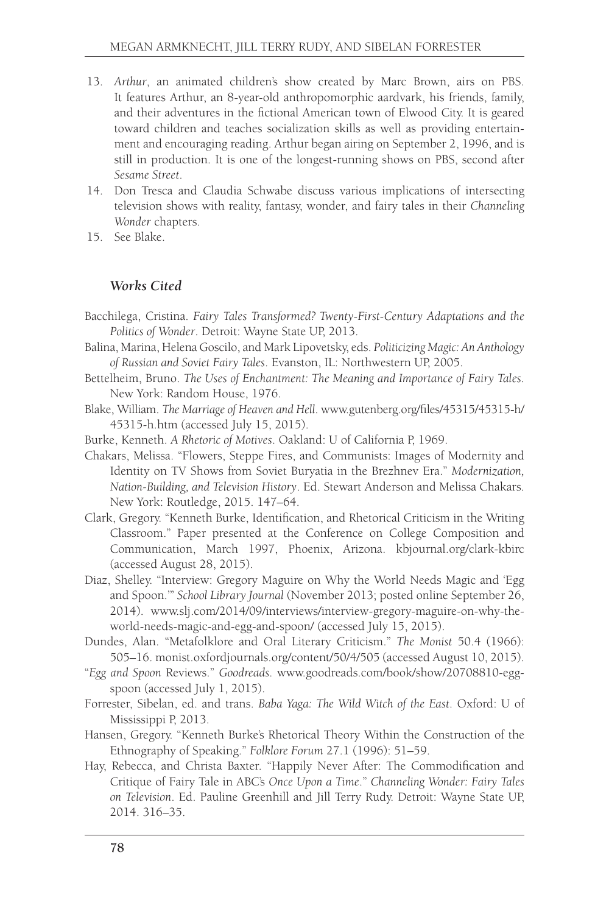- 13. *Arthur*, an animated children's show created by Marc Brown, airs on PBS. It features Arthur, an 8-year-old anthropomorphic aardvark, his friends, family, and their adventures in the fictional American town of Elwood City. It is geared toward children and teaches socialization skills as well as providing entertainment and encouraging reading. Arthur began airing on September 2, 1996, and is still in production. It is one of the longest-running shows on PBS, second after *Sesame Street*.
- 14. Don Tresca and Claudia Schwabe discuss various implications of intersecting television shows with reality, fantasy, wonder, and fairy tales in their *Channeling Wonder* chapters.
- 15. See Blake.

### *Works Cited*

- Bacchilega, Cristina. *Fairy Tales Transformed? Twenty-First-Century Adaptations and the Politics of Wonder*. Detroit: Wayne State UP, 2013.
- Balina, Marina, Helena Goscilo, and Mark Lipovetsky, eds. *Politicizing Magic: An Anthology of Russian and Soviet Fairy Tales*. Evanston, IL: Northwestern UP, 2005.
- Bettelheim, Bruno. *The Uses of Enchantment: The Meaning and Importance of Fairy Tales*. New York: Random House, 1976.
- Blake, William. *The Marriage of Heaven and Hell*. [www.gutenberg.org/files/45315/45315-h/](www.gutenberg.org/files/45315/45315-h/45315-h.htm) [45315-h.htm](www.gutenberg.org/files/45315/45315-h/45315-h.htm) (accessed July 15, 2015).
- Burke, Kenneth. *A Rhetoric of Motives*. Oakland: U of California P, 1969.
- Chakars, Melissa. "Flowers, Steppe Fires, and Communists: Images of Modernity and Identity on TV Shows from Soviet Buryatia in the Brezhnev Era." *Modernization, Nation-Building, and Television History*. Ed. Stewart Anderson and Melissa Chakars. New York: Routledge, 2015. 147–64.
- Clark, Gregory. "Kenneth Burke, Identification, and Rhetorical Criticism in the Writing Classroom." Paper presented at the Conference on College Composition and Communication, March 1997, Phoenix, Arizona. [kbjournal.org/clark-kbirc](www.kbjournal.org/clark-kbirc)  (accessed August 28, 2015).
- Diaz, Shelley. "Interview: Gregory Maguire on Why the World Needs Magic and 'Egg and Spoon.'" *School Library Journal* (November 2013; posted online September 26, 2014). www.slj.com/2014/09/interviews/interview-gregory-maguire-on-why-theworld-needs-magic-and-egg-and-spoon/ (accessed July 15, 2015).
- Dundes, Alan. "Metafolklore and Oral Literary Criticism." *The Monist* 50.4 (1966): 505–16.<monist.oxfordjournals.org/content/50/4/505> (accessed August 10, 2015).
- "*Egg and Spoon* Reviews." *Goodreads*. www.goodreads.com/book/show/20708810-eggspoon (accessed July 1, 2015).
- Forrester, Sibelan, ed. and trans. *Baba Yaga: The Wild Witch of the East*. Oxford: U of Mississippi P, 2013.
- Hansen, Gregory. "Kenneth Burke's Rhetorical Theory Within the Construction of the Ethnography of Speaking." *Folklore Forum* 27.1 (1996): 51–59.
- Hay, Rebecca, and Christa Baxter. "Happily Never After: The Commodification and Critique of Fairy Tale in ABC's *Once Upon a Time*." *Channeling Wonder: Fairy Tales on Television*. Ed. Pauline Greenhill and Jill Terry Rudy. Detroit: Wayne State UP, 2014. 316–35.